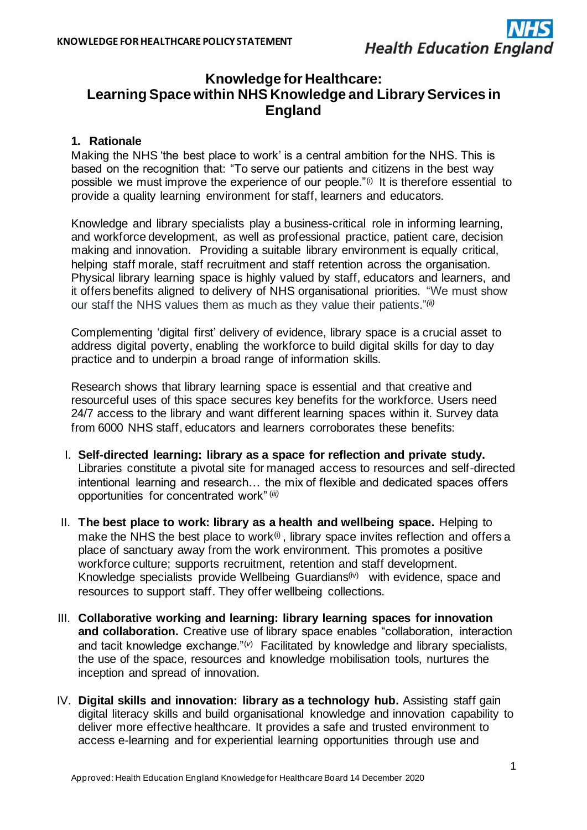

# **Knowledge for Healthcare: Learning Space within NHS Knowledge and Library Services in England**

## **1. Rationale**

Making the NHS 'the best place to work' is a central ambition for the NHS. This is based on the recognition that: "To serve our patients and citizens in the best way possible we must improve the experience of our people."(i)It is therefore essential to provide a quality learning environment for staff, learners and educators.

Knowledge and library specialists play a business-critical role in informing learning, and workforce development, as well as professional practice, patient care, decision making and innovation. Providing a suitable library environment is equally critical, helping staff morale, staff recruitment and staff retention across the organisation. Physical library learning space is highly valued by staff, educators and learners, and it offers benefits aligned to delivery of NHS organisational priorities. "We must show our staff the NHS values them as much as they value their patients."(ii)

Complementing 'digital first' delivery of evidence, library space is a crucial asset to address digital poverty, enabling the workforce to build digital skills for day to day practice and to underpin a broad range of information skills.

Research shows that library learning space is essential and that creative and resourceful uses of this space secures key benefits for the workforce. Users need 24/7 access to the library and want different learning spaces within it. Survey data from 6000 NHS staff, educators and learners corroborates these benefits:

- I. **Self-directed learning: library as a space for reflection and private study.**  Libraries constitute a pivotal site for managed access to resources and self-directed intentional learning and research… the mix of flexible and dedicated spaces offers opportunities for concentrated work"(*iii)*
- II. **The best place to work: library as a health and wellbeing space.** Helping to make the NHS the best place to work $\ddot{\text{o}}$ , library space invites reflection and offers a place of sanctuary away from the work environment. This promotes a positive workforce culture; supports recruitment, retention and staff development. Knowledge specialists provide Wellbeing Guardians<sup>(iv)</sup> with evidence, space and resources to support staff. They offer wellbeing collections.
- III. **Collaborative working and learning: library learning spaces for innovation and collaboration.** Creative use of library space enables "collaboration, interaction and tacit knowledge exchange."(*v*) Facilitated by knowledge and library specialists, the use of the space, resources and knowledge mobilisation tools, nurtures the inception and spread of innovation.
- IV. **Digital skills and innovation: library as a technology hub.** Assisting staff gain digital literacy skills and build organisational knowledge and innovation capability to deliver more effective healthcare. It provides a safe and trusted environment to access e-learning and for experiential learning opportunities through use and